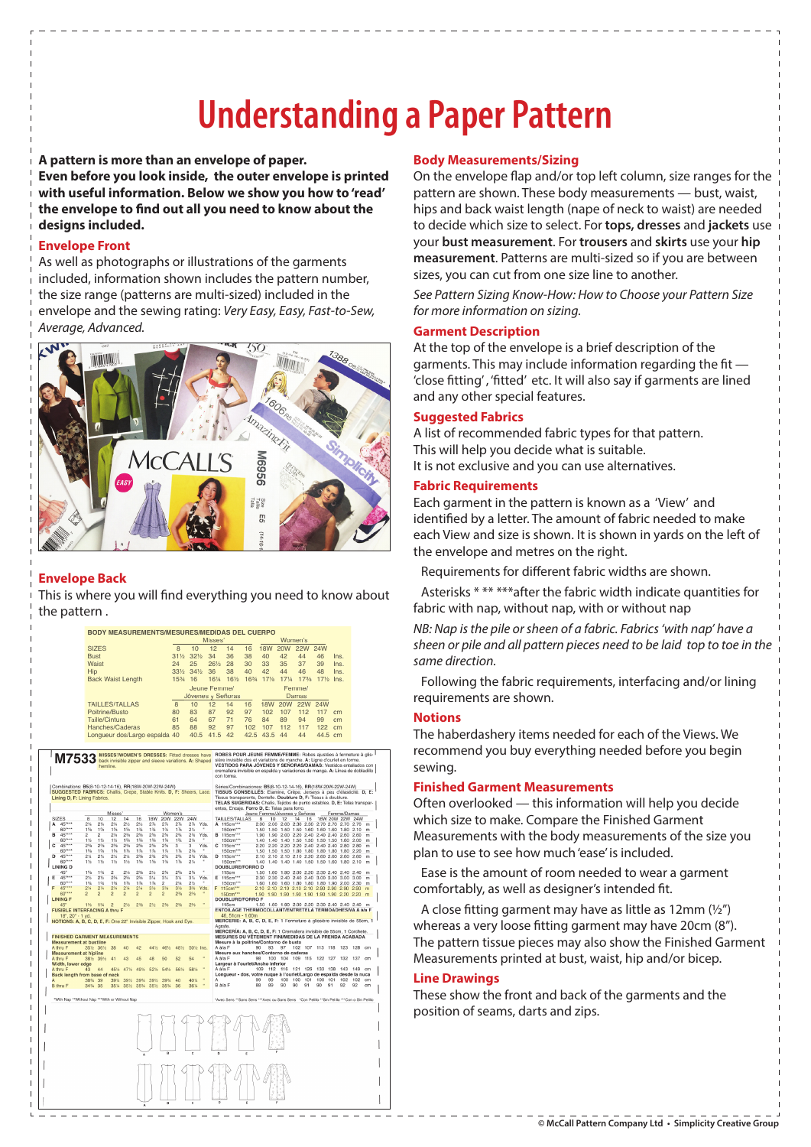# **Understanding a Paper Pattern**

**A pattern is more than an envelope of paper.** 

**Even before you look inside, the outer envelope is printed with useful information. Below we show you how to 'read'**  the envelope to find out all you need to know about the **designs included.** 

# **Envelope Front**

As well as photographs or illustrations of the garments included, information shown includes the pattern number, the size range (patterns are multi-sized) included in the envelope and the sewing rating: Very Easy, Easy, Fast-to-Sew, Average, Advanced.



# **Envelope Back**

This is where you will find everything you need to know about the pattern .

|                                                                                                                                                                       |                                   |                                  |                       |                                   |                               |                       |                       |                                                                                                        |                 |            | Misses'      |                                                                                                                                                                                                                                                                                                                                                                                                                                                                                                                                                                                                         |                 |                              |                 | Women's                                                                  |            |                             |              |          |
|-----------------------------------------------------------------------------------------------------------------------------------------------------------------------|-----------------------------------|----------------------------------|-----------------------|-----------------------------------|-------------------------------|-----------------------|-----------------------|--------------------------------------------------------------------------------------------------------|-----------------|------------|--------------|---------------------------------------------------------------------------------------------------------------------------------------------------------------------------------------------------------------------------------------------------------------------------------------------------------------------------------------------------------------------------------------------------------------------------------------------------------------------------------------------------------------------------------------------------------------------------------------------------------|-----------------|------------------------------|-----------------|--------------------------------------------------------------------------|------------|-----------------------------|--------------|----------|
|                                                                                                                                                                       |                                   | <b>SIZES</b>                     |                       |                                   |                               |                       |                       | $\overline{8}$                                                                                         | 10              |            | 12           | 14                                                                                                                                                                                                                                                                                                                                                                                                                                                                                                                                                                                                      | 16              | <b>18W</b>                   | 20W             | <b>22W</b>                                                               | <b>24W</b> |                             |              |          |
|                                                                                                                                                                       |                                   | <b>Bust</b><br>Waist             |                       |                                   |                               | $31\frac{1}{2}$<br>24 | $32\frac{1}{2}$<br>25 |                                                                                                        | 34<br>261/2     | 36<br>28   | 38<br>30     | 40<br>33                                                                                                                                                                                                                                                                                                                                                                                                                                                                                                                                                                                                | 42<br>35        | 44<br>37                     | 46<br>39        | Ins.                                                                     |            |                             |              |          |
|                                                                                                                                                                       | Hip                               |                                  |                       |                                   |                               |                       |                       | 331/2                                                                                                  | 341/2           |            | 36           | 38                                                                                                                                                                                                                                                                                                                                                                                                                                                                                                                                                                                                      | 40              | 42                           | 44              | 46                                                                       | 48         | Ins.<br>Ins.                |              |          |
|                                                                                                                                                                       |                                   |                                  |                       |                                   |                               |                       |                       | $15\%$                                                                                                 | 16              |            | 161/4        | 161/2                                                                                                                                                                                                                                                                                                                                                                                                                                                                                                                                                                                                   | 1634            | 17%                          | $17\%$          | 173/8                                                                    |            | 17% Ins.                    |              |          |
|                                                                                                                                                                       | <b>Back Waist Length</b>          |                                  |                       |                                   |                               |                       |                       |                                                                                                        | Jeune Femme/    |            |              |                                                                                                                                                                                                                                                                                                                                                                                                                                                                                                                                                                                                         |                 |                              | Femme/          |                                                                          |            |                             |              |          |
|                                                                                                                                                                       |                                   |                                  |                       |                                   |                               |                       |                       |                                                                                                        |                 |            |              | Jóvenes y Señoras                                                                                                                                                                                                                                                                                                                                                                                                                                                                                                                                                                                       |                 |                              |                 | Damas                                                                    |            |                             |              |          |
|                                                                                                                                                                       |                                   |                                  |                       | <b>TAILLES/TALLAS</b>             |                               |                       |                       | 8                                                                                                      | 10              |            | 12           | 14                                                                                                                                                                                                                                                                                                                                                                                                                                                                                                                                                                                                      | 16              | <b>18W</b>                   | 20 <sub>W</sub> | 22W                                                                      | 24W        |                             |              |          |
|                                                                                                                                                                       | Poitrine/Busto                    |                                  |                       |                                   |                               | 80                    | 83                    |                                                                                                        | 87              | 92         | 97           | 102                                                                                                                                                                                                                                                                                                                                                                                                                                                                                                                                                                                                     | 107             | 112                          | 117             | cm                                                                       |            |                             |              |          |
|                                                                                                                                                                       | Taille/Cintura<br>Hanches/Caderas |                                  |                       |                                   |                               | 61                    | 64                    |                                                                                                        | 67              | 71         | 76           | 84                                                                                                                                                                                                                                                                                                                                                                                                                                                                                                                                                                                                      | 89              | 94                           | 99              | cm                                                                       |            |                             |              |          |
|                                                                                                                                                                       |                                   |                                  |                       |                                   |                               |                       |                       | 85                                                                                                     | 88              |            | 92           | 97                                                                                                                                                                                                                                                                                                                                                                                                                                                                                                                                                                                                      | 102             | 107                          | 112             | 117                                                                      | 122        | cm                          |              |          |
|                                                                                                                                                                       |                                   |                                  |                       |                                   | Longueur dos/Largo espalda 40 |                       |                       |                                                                                                        | 40.5            |            | 41.5         | 42                                                                                                                                                                                                                                                                                                                                                                                                                                                                                                                                                                                                      | 42.5            | 43.5                         | 44              | 44                                                                       | 44.5       | cm                          |              |          |
| M7533<br>Combinations: B5(8-10-12-14-16), RR(18W-20W-22W-24W)<br>SUGGESTED FABRICS: Challis, Crepe, Stable Knits. D, F: Sheers, Lace.<br>Lining D, F: Lining Fabrics. |                                   | hemline                          |                       |                                   |                               |                       |                       | MISSES'/WOMEN'S DRESSES: Fitted dresses have<br>back invisible zipper and sleeve variations. A: Shaped |                 |            |              | ROBES POUR JEUNE FEMME/FEMME: Robes ajustées à fermeture à glis-<br>sière invisible dos et variations de manche. A: Ligne d'ourlet en forme.<br>VESTIDOS PARA JÓVENES Y SEÑORAS/DAMAS: Vestidos entallados con<br>cremallera invisible en espalda y variaciones de manga. A: Línea de dobladillo<br>con forma.<br>Séries/Combinaciones: B5(8-10-12-14-16), RR(18W-20W-22W-24W)<br>TISSUS CONSEILLÉS: Etamine, Crêpe, Jerseys à peu d'élasticité. D, E:<br>Tissus transparents, Dentelle. Doublure D, F: Tissus à doublure.<br>TELAS SUGERIDAS: Chalis, Teildos de punto estables, D. E: Telas transpar- |                 |                              |                 |                                                                          |            |                             |              |          |
|                                                                                                                                                                       |                                   |                                  | Misses                |                                   |                               |                       | Women's               |                                                                                                        |                 |            |              | entes, Encaje. Forro D, E: Telas para forro.                                                                                                                                                                                                                                                                                                                                                                                                                                                                                                                                                            |                 |                              |                 | Jeune Femme/Jóvenes y Señoras                                            |            | Femme/Damas                 |              |          |
| <b>SIZES</b><br>A                                                                                                                                                     | $\overline{8}$                    | 10                               | $\overline{12}$       | 14                                | 16                            | 18W                   | <b>20W</b>            | 22W                                                                                                    | 24W             |            |              | TAILLES/TALLAS                                                                                                                                                                                                                                                                                                                                                                                                                                                                                                                                                                                          |                 | 8<br>10                      | 12              | 16<br>14                                                                 |            | 18W 20W 22W 24W             |              |          |
| $45***$<br><b>ROWH</b>                                                                                                                                                | 2%<br>1%                          | 2%<br>1%                         | $2\%$<br>156          | 2%<br>156                         | 2%<br>136                     | $2\%$<br>134          | 2%<br>136             | 2%<br>176                                                                                              | $2\%$<br>2%     | Yds.       |              | A 115cm**<br>150cm***                                                                                                                                                                                                                                                                                                                                                                                                                                                                                                                                                                                   |                 | 1.50<br>1.50                 | 1.50            | 2.00 2.00 2.00 2.30 2.30<br>1.50<br>1.60                                 | 1.60 1.60  | 2.70 2.70 2.70 2.70<br>1.80 | 2.10         | m<br>m   |
| 45"***                                                                                                                                                                | $\overline{c}$                    | $\overline{c}$                   | 2%                    | 2%                                | 2%                            | 2%                    | 2%                    | 2%                                                                                                     | 2%              | Yds.       | B            | 115cm***                                                                                                                                                                                                                                                                                                                                                                                                                                                                                                                                                                                                |                 | 1.90<br>1.90                 | 2.00            | 2.20 2.40 2.40 2.40 2.60                                                 |            |                             | 2.60         | m        |
| 60"***<br>$45^{m+1}$                                                                                                                                                  | $1\frac{1}{2}$<br>236             | $1\frac{1}{2}$<br>2%             | 1%<br>234             | 156<br>236                        | 1%<br>254                     | 1%<br>256             | 159<br>256            | 1%<br>٩                                                                                                | 2%<br>۹         | Yds.       | c            | 150cm***<br>115cm***                                                                                                                                                                                                                                                                                                                                                                                                                                                                                                                                                                                    |                 | 1.40<br>1.40<br>2.20<br>2.20 | 1.40 1.50       | 1.50<br>2.20 2.20 2.40                                                   | 1.50 1.50  | 1.60<br>2.40 2.40 2.80      | 2.00<br>2.80 | m<br>m   |
| 60"***                                                                                                                                                                | 1%                                | 1%                               | 1%                    | 1%                                | 1%                            | 1%                    | 1%                    | $1\%$                                                                                                  | 2 <sub>36</sub> |            |              | 150cm***                                                                                                                                                                                                                                                                                                                                                                                                                                                                                                                                                                                                |                 | 1.50<br>1.50                 |                 | 1.50 1.80 1.80                                                           |            | 1.80 1.80 1.80 2.20         |              | m        |
| 45****<br>D<br>60"***                                                                                                                                                 | 2%                                | $2\%$                            | 2%                    | 2%                                | 236<br>156                    | 234<br>156            | 234<br>136            | 2%<br>1.76                                                                                             | 2%<br>214       | Yds.       | D            | 115cm***<br>150cm***                                                                                                                                                                                                                                                                                                                                                                                                                                                                                                                                                                                    |                 | 2.10<br>2.10                 |                 | 2.10 2.10 2.20                                                           |            | 2.60 2.60 2.60              | 2.60         | m        |
| <b>LINING D</b>                                                                                                                                                       | 1%                                | 1%                               | 1%                    | 1%                                |                               |                       |                       |                                                                                                        |                 | ×          |              | DOUBLURE/FORRO D                                                                                                                                                                                                                                                                                                                                                                                                                                                                                                                                                                                        |                 | 1.40<br>1.40                 |                 | 1.40 1.40 1.50 1.50 1.60 1.80 2.10                                       |            |                             |              | m        |
| 45'<br>45****<br>Е                                                                                                                                                    | 156<br>2%                         | 1%<br>216                        | $\overline{c}$<br>254 | 2%<br>256                         | 2 <sub>16</sub><br>2%         | 2%<br>3%              | 2%<br>3%              | 2%<br>3%                                                                                               | 2%<br>3%        | Yds.       | F            | 115cm<br>115cm***                                                                                                                                                                                                                                                                                                                                                                                                                                                                                                                                                                                       |                 | 1.50<br>1.60<br>2.30         |                 | 1.90 2.00 2.20 2.30 2.40 2.40<br>2.30 2.40 2.40 2.40 3.00 3.00 3.00 3.00 |            |                             | 2.40         | m<br>m   |
| 60****                                                                                                                                                                | 1%                                | 1%                               | 1%                    | 1%                                | 1%                            | 1%                    | $\overline{c}$        | 2%                                                                                                     | 2%              |            |              | 150cm***                                                                                                                                                                                                                                                                                                                                                                                                                                                                                                                                                                                                |                 | 1.60<br>1.60                 |                 | 1.60 1.80 1.80 1.80 1.90 2.00 2.30                                       |            |                             |              | m        |
| 45****<br>60****                                                                                                                                                      | 2%<br>$\overline{2}$              | $2\frac{1}{4}$<br>$\overline{a}$ | 2%<br>$\overline{a}$  | 2 <sub>14</sub><br>$\overline{2}$ | $2\%$<br>$\overline{2}$       | 3%<br>$\overline{2}$  | 3%<br>$\overline{2}$  | 3%<br>236                                                                                              | 3%<br>$23$ %    | Yds.       |              | 115cm***<br>150cm***                                                                                                                                                                                                                                                                                                                                                                                                                                                                                                                                                                                    |                 | 2.10<br>2.10<br>1.90<br>1.90 |                 | 2.10 2.10 2.10 2.90 2.90<br>1.90 1.90 1.90 1.90 1.90 2.20                |            | 2.90                        | 2.90<br>2.20 | m<br>m   |
| <b>LINING F</b>                                                                                                                                                       |                                   |                                  |                       |                                   |                               |                       |                       |                                                                                                        |                 |            |              | <b>DOUBLURE/FORRO F</b>                                                                                                                                                                                                                                                                                                                                                                                                                                                                                                                                                                                 |                 |                              |                 |                                                                          |            |                             |              |          |
| 45'<br><b>FUSIBLE INTERFACING A thru F</b>                                                                                                                            | 156                               | 1%                               | $\overline{2}$        | 2%                                | 2%                            | 2 <sub>2</sub>        | 256                   | 2%                                                                                                     | 2%              |            |              | 115cm<br>ENTOILAGE THERMOCOLLANT/ENTRETELA TERMOADHESIVA A à/a F                                                                                                                                                                                                                                                                                                                                                                                                                                                                                                                                        |                 |                              |                 | 1.50 1.60 1.90 2.00 2.20 2.30 2.40 2.40 2.40                             |            |                             |              | m        |
| 18", 20" - 1 yd.                                                                                                                                                      |                                   |                                  |                       |                                   |                               |                       |                       |                                                                                                        |                 |            |              | 46.51cm - 1.00m                                                                                                                                                                                                                                                                                                                                                                                                                                                                                                                                                                                         |                 |                              |                 |                                                                          |            |                             |              |          |
| NOTIONS: A, B, C, D, E, F: One 22" Invisible Zipper, Hook and Eye.                                                                                                    |                                   |                                  |                       |                                   |                               |                       |                       |                                                                                                        |                 |            | Agrafe       | MERCERIE: A, B, C, D, E, F: 1 Fermeture à glissière invisible de 55cm, 1                                                                                                                                                                                                                                                                                                                                                                                                                                                                                                                                |                 |                              |                 |                                                                          |            |                             |              |          |
| <b>FINISHED GARMENT MEASUREMENTS</b>                                                                                                                                  |                                   |                                  |                       |                                   |                               |                       |                       |                                                                                                        |                 |            |              | MERCERÍA: A, B, C, D, E, F: 1 Cremallera invisible de 55cm, 1 Corchete.<br>MESURES DU VÉTEMENT FINI/MEDIDAS DE LA PRENDA ACABADA                                                                                                                                                                                                                                                                                                                                                                                                                                                                        |                 |                              |                 |                                                                          |            |                             |              |          |
| <b>Measurement at bustline</b><br>A thru F                                                                                                                            |                                   | 351/2 361/2                      | $3R$                  | $40^{\circ}$                      | 42                            | 44%                   | 461/2                 | 481/2                                                                                                  |                 | 501/2 Ins. | A à/a F      | Mesure à la poitrine/Contorno de busto                                                                                                                                                                                                                                                                                                                                                                                                                                                                                                                                                                  | 90              | 93                           | 97              | 102 107 113 118 123 128 cm                                               |            |                             |              |          |
| <b>Measurement at hipline</b>                                                                                                                                         |                                   |                                  |                       |                                   |                               |                       |                       |                                                                                                        |                 |            |              | Mesure aux hanches/Contorno de caderas                                                                                                                                                                                                                                                                                                                                                                                                                                                                                                                                                                  |                 |                              |                 |                                                                          |            |                             |              |          |
| A thru F                                                                                                                                                              | 381/2                             | 39%                              | 41                    | 43                                | 45                            | 48                    | 50                    | 52                                                                                                     | 54              |            | A à/a F      |                                                                                                                                                                                                                                                                                                                                                                                                                                                                                                                                                                                                         | 98              |                              | 100 104         | 109<br>115                                                               | 122        | 127<br>132                  | 137          | cm       |
| Width, lower edge<br>A thru F                                                                                                                                         | 43                                | 44                               | 45%                   | 47%                               | 4916                          | 52%                   | 54%                   | 56%                                                                                                    | 5816            |            | A à/a F      | Largeur à l'ourlet/Ancho inferior                                                                                                                                                                                                                                                                                                                                                                                                                                                                                                                                                                       | 109             | 112                          | 116             | 121 126                                                                  | 133 138    | 143                         | 149          | cm       |
| Back length from base of neck                                                                                                                                         |                                   |                                  |                       |                                   |                               |                       |                       |                                                                                                        |                 |            |              | Longueur - dos,                                                                                                                                                                                                                                                                                                                                                                                                                                                                                                                                                                                         |                 |                              |                 | votre nuque à l'ourlet/Largo de espalda desde la nuca                    |            |                             |              |          |
| <b>B</b> thru F                                                                                                                                                       | 38% 39<br>34%                     | 35                               | 39%<br>35%            | 391/2<br>35%                      | 39%                           | 39%<br>35% 35%        | 39%<br>35%            | 40<br>36                                                                                               | 40%<br>36%      |            | А<br>R à/a F |                                                                                                                                                                                                                                                                                                                                                                                                                                                                                                                                                                                                         | 99<br><b>RR</b> | 99<br>89                     | 100<br>90       | 100<br>101<br>90<br>91                                                   | 100<br>90  | 101<br>102<br>91<br>92      | 102<br>92    | cm<br>cm |
|                                                                                                                                                                       |                                   |                                  |                       |                                   |                               |                       |                       |                                                                                                        |                 |            |              |                                                                                                                                                                                                                                                                                                                                                                                                                                                                                                                                                                                                         |                 |                              |                 |                                                                          |            |                             |              |          |
| "With Nap ""Without Nap ""With or Without Nap                                                                                                                         |                                   |                                  |                       |                                   |                               |                       |                       |                                                                                                        |                 |            |              | "Avec Sens ""Sans Sens ""Avec ou Sans Sens "Con Pelillo ""Sin Pelillo ""Con o Sin Pelillo                                                                                                                                                                                                                                                                                                                                                                                                                                                                                                               |                 |                              |                 |                                                                          |            |                             |              |          |
|                                                                                                                                                                       |                                   |                                  |                       |                                   |                               |                       |                       |                                                                                                        |                 |            |              |                                                                                                                                                                                                                                                                                                                                                                                                                                                                                                                                                                                                         |                 |                              |                 |                                                                          |            |                             |              |          |
|                                                                                                                                                                       |                                   |                                  |                       |                                   |                               |                       |                       |                                                                                                        |                 |            |              |                                                                                                                                                                                                                                                                                                                                                                                                                                                                                                                                                                                                         |                 |                              |                 |                                                                          |            |                             |              |          |

# **Body Measurements/Sizing**

On the envelope flap and/or top left column, size ranges for the pattern are shown. These body measurements — bust, waist, hips and back waist length (nape of neck to waist) are needed to decide which size to select. For **tops, dresses** and **jackets** use your **bust measurement**. For **trousers** and **skirts** use your **hip measurement**. Patterns are multi-sized so if you are between sizes, you can cut from one size line to another.

See Pattern Sizing Know-How: How to Choose your Pattern Size for more information on sizing.

# **Garment Description**

At the top of the envelope is a brief description of the garments. This may include information regarding the fit  $-$ 'close fitting', 'fitted' etc. It will also say if garments are lined and any other special features.

## **Suggested Fabrics**

A list of recommended fabric types for that pattern. This will help you decide what is suitable. It is not exclusive and you can use alternatives.

# **Fabric Requirements**

Each garment in the pattern is known as a 'View' and identified by a letter. The amount of fabric needed to make each View and size is shown. It is shown in yards on the left of the envelope and metres on the right.

Requirements for different fabric widths are shown.

Asterisks \* \*\* \*\*\*after the fabric width indicate quantities for fabric with nap, without nap, with or without nap

NB: Nap is the pile or sheen of a fabric. Fabrics 'with nap' have a sheen or pile and all pattern pieces need to be laid top to toe in the same direction.

Following the fabric requirements, interfacing and/or lining requirements are shown.

## **Notions**

The haberdashery items needed for each of the Views. We recommend you buy everything needed before you begin sewing.

## **Finished Garment Measurements**

Often overlooked — this information will help you decide which size to make. Compare the Finished Garment Measurements with the body measurements of the size you plan to use to see how much 'ease' is included.

Ease is the amount of room needed to wear a garment comfortably, as well as designer's intended fit.

A close fitting garment may have as little as 12mm  $(\frac{1}{2})$ whereas a very loose fitting garment may have 20cm (8"). The pattern tissue pieces may also show the Finished Garment Measurements printed at bust, waist, hip and/or bicep.

## **Line Drawings**

These show the front and back of the garments and the position of seams, darts and zips.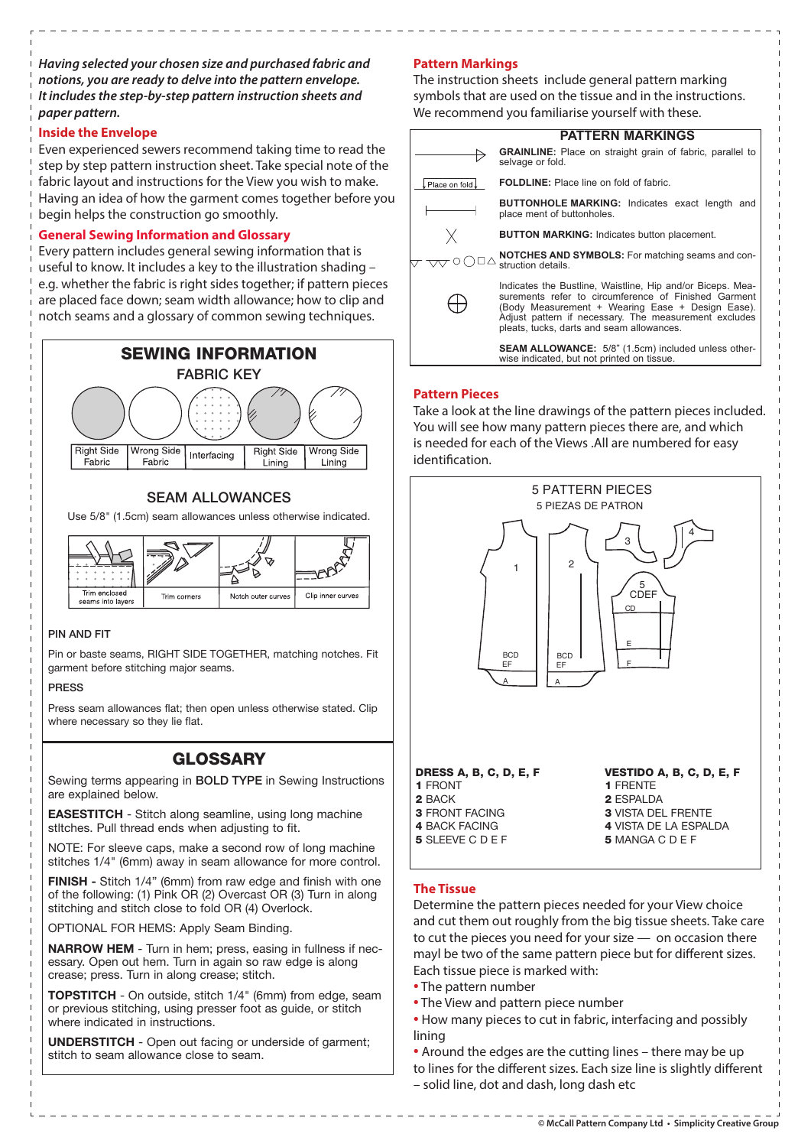**Having selected your chosen size and purchased fabric and notions, you are ready to delve into the pattern envelope. It includes the step-by-step pattern instruction sheets and paper pattern.**

# **Inside the Envelope**

Even experienced sewers recommend taking time to read the step by step pattern instruction sheet. Take special note of the fabric layout and instructions for the View you wish to make. Having an idea of how the garment comes together before you begin helps the construction go smoothly.

# **General Sewing Information and Glossary**

Every pattern includes general sewing information that is useful to know. It includes a key to the illustration shading – e.g. whether the fabric is right sides together; if pattern pieces are placed face down; seam width allowance; how to clip and notch seams and a glossary of common sewing techniques.



# **SEAM ALLOWANCES**

Use 5/8" (1.5cm) seam allowances unless otherwise indicated.



## PIN AND FIT

Pin or baste seams, RIGHT SIDE TOGETHER, matching notches. Fit garment before stitching major seams.

#### PRESS

Press seam allowances flat; then open unless otherwise stated. Clip where necessary so they lie flat.

# **GLOSSARY**

Sewing terms appearing in BOLD TYPE in Sewing Instructions are explained below.

**EASESTITCH** - Stitch along seamline, using long machine stltches. Pull thread ends when adjusting to fit.

NOTE: For sleeve caps, make a second row of long machine stitches 1/4" (6mm) away in seam allowance for more control.

**FINISH** - Stitch 1/4" (6mm) from raw edge and finish with one of the following: (1) Pink OR (2) Overcast OR (3) Turn in along stitching and stitch close to fold OR (4) Overlock.

OPTIONAL FOR HEMS: Apply Seam Binding.

**NARROW HEM** - Turn in hem; press, easing in fullness if necessary. Open out hem. Turn in again so raw edge is along crease; press. Turn in along crease; stitch.

**TOPSTITCH** - On outside, stitch 1/4" (6mm) from edge, seam or previous stitching, using presser foot as guide, or stitch where indicated in instructions.

**UNDERSTITCH** - Open out facing or underside of garment; stitch to seam allowance close to seam.

# **Pattern Markings**

The instruction sheets include general pattern marking symbols that are used on the tissue and in the instructions. We recommend you familiarise yourself with these.

|                | <b>PATTERN MARKINGS</b>                                                                                                                                                                                                                                                      |
|----------------|------------------------------------------------------------------------------------------------------------------------------------------------------------------------------------------------------------------------------------------------------------------------------|
|                | <b>GRAINLINE:</b> Place on straight grain of fabric, parallel to<br>selvage or fold.                                                                                                                                                                                         |
| Place on fold. | <b>FOLDLINE:</b> Place line on fold of fabric.                                                                                                                                                                                                                               |
|                | <b>BUTTONHOLE MARKING: Indicates exact length and</b><br>place ment of buttonholes.                                                                                                                                                                                          |
|                | <b>BUTTON MARKING: Indicates button placement.</b>                                                                                                                                                                                                                           |
|                | <b>NOTCHES AND SYMBOLS:</b> For matching seams and con-<br>struction details.                                                                                                                                                                                                |
|                | Indicates the Bustline, Waistline, Hip and/or Biceps. Mea-<br>surements refer to circumference of Finished Garment<br>(Body Measurement + Wearing Ease + Design Ease).<br>Adjust pattern if necessary. The measurement excludes<br>pleats, tucks, darts and seam allowances. |
|                | <b>SEAM ALLOWANCE:</b> 5/8" (1.5cm) included unless other-<br>wise indicated, but not printed on tissue.                                                                                                                                                                     |

# **Pattern Pieces**

Take a look at the line drawings of the pattern pieces included. You will see how many pattern pieces there are, and which is needed for each of the Views .All are numbered for easy identification.



# **The Tissue**

Determine the pattern pieces needed for your View choice and cut them out roughly from the big tissue sheets. Take care to cut the pieces you need for your size — on occasion there mayl be two of the same pattern piece but for different sizes. Each tissue piece is marked with:

- The pattern number
- The View and pattern piece number
- How many pieces to cut in fabric, interfacing and possibly lining
- Around the edges are the cutting lines there may be up to lines for the different sizes. Each size line is slightly different – solid line, dot and dash, long dash etc